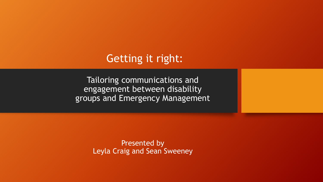#### Getting it right:

Tailoring communications and engagement between disability groups and Emergency Management

> Presented by Leyla Craig and Sean Sweeney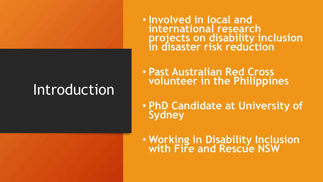# Introduction

• **Involved in local and international research projects on disability inclusion in disaster risk reduction**

• **Past Australian Red Cross volunteer in the Philippines**

• **PhD Candidate at University of Sydney**

• **Working in Disability Inclusion with Fire and Rescue NSW**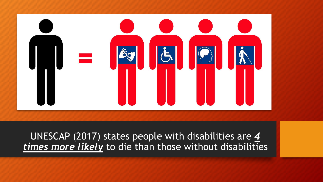

UNESCAP (2017) states people with disabilities are *4 times more likely* to die than those without disabilities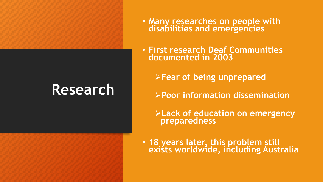# **Research**

- **Many researches on people with disabilities and emergencies**
- **First research Deaf Communities documented in 2003** 
	- ➢**Fear of being unprepared**
	- ➢**Poor information dissemination**
	- ➢**Lack of education on emergency preparedness**
- **18 years later, this problem still exists worldwide, including Australia**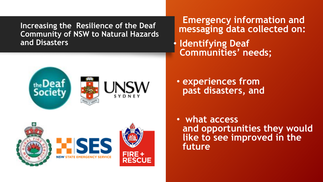**Increasing the Resilience of the Deaf Community of NSW to Natural Hazards and Disasters**

**Emergency information and messaging data collected on:**

• **Identifying Deaf Communities' needs;** 





• **experiences from past disasters, and**

• **what access and opportunities they would like to see improved in the future**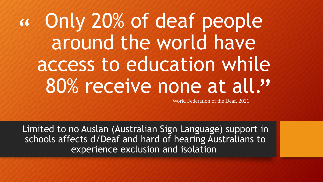" 80% receive none at all." Only 20% of deaf people around the world have access to education while

World Federation of the Deaf, 2021

Limited to no Auslan (Australian Sign Language) support in schools affects d/Deaf and hard of hearing Australians to experience exclusion and isolation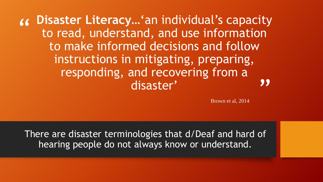" **Disaster Literacy…**'an individual's capacity **99** to read, understand, and use information to make informed decisions and follow instructions in mitigating, preparing, responding, and recovering from a disaster'

Brown et al, 2014

There are disaster terminologies that d/Deaf and hard of hearing people do not always know or understand.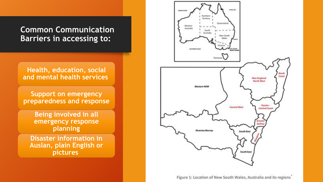#### **Common Communication Barriers in accessing to:**

**Health, education, social and mental health services**

**Support on emergency preparedness and response**

> **Being involved in all emergency response planning**

**Disaster information in Auslan, plain English or pictures**



Figure 1: Location of New South Wales, Australia and its regions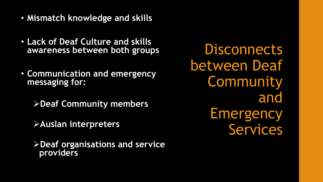- **Mismatch knowledge and skills**
- **Lack of Deaf Culture and skills awareness between both groups**
- **Communication and emergency messaging for:**
	- ➢**Deaf Community members**
	- ➢**Auslan interpreters**
	- ➢**Deaf organisations and service providers**

**Disconnects** between Deaf Community and **Emergency** Services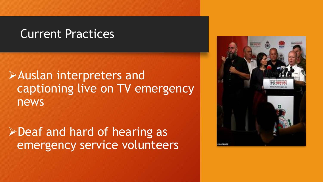### Current Practices

# ➢Auslan interpreters and captioning live on TV emergency news

# ➢Deaf and hard of hearing as emergency service volunteers

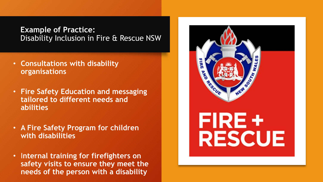#### **Example of Practice:** Disability Inclusion in Fire & Rescue NSW

- **Consultations with disability organisations**
- **Fire Safety Education and messaging tailored to different needs and abilities**
- **A Fire Safety Program for children with disabilities**
- I**nternal training for firefighters on safety visits to ensure they meet the needs of the person with a disability**

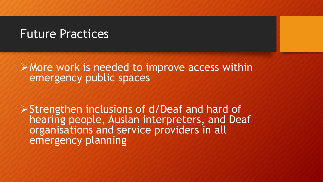### Future Practices

➢More work is needed to improve access within emergency public spaces

➢Strengthen inclusions of d/Deaf and hard of hearing people, Auslan interpreters, and Deaf organisations and service providers in all emergency planning